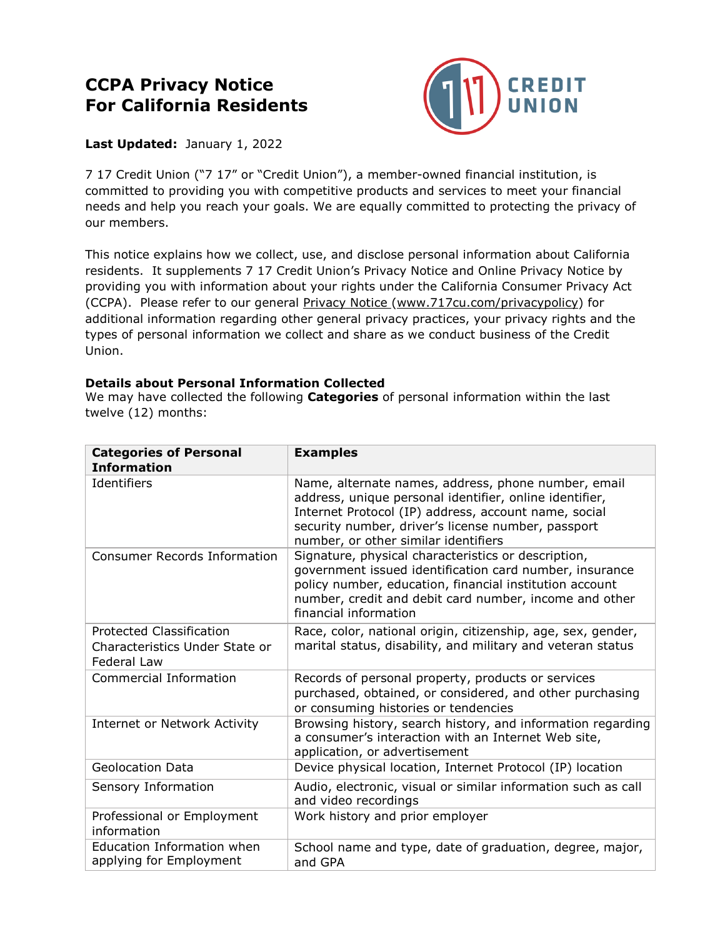# **CCPA Privacy Notice For California Residents**



## **Last Updated:** January 1, 2022

 7 17 Credit Union ("7 17" or "Credit Union"), a member-owned financial institution, is committed to providing you with competitive products and services to meet your financial needs and help you reach your goals. We are equally committed to protecting the privacy of our members.

 This notice explains how we collect, use, and disclose personal information about California residents. It supplements 7 17 Credit Union's Privacy Notice and Online Privacy Notice by providing you with information about your rights under the California Consumer Privacy Act (CCPA). Please refer to our general <u>Privacy Notice [\(www.717cu.com/privacypolicy](www.717cu.com/privacypolicy)</u>) for additional information regarding other general privacy practices, your privacy rights and the types of personal information we collect and share as we conduct business of the Credit Union.

#### **Details about Personal Information Collected**

 We may have collected the following **Categories** of personal information within the last twelve (12) months:

| <b>Categories of Personal</b><br><b>Information</b>                                     | <b>Examples</b>                                                                                                                                                                                                                                                      |
|-----------------------------------------------------------------------------------------|----------------------------------------------------------------------------------------------------------------------------------------------------------------------------------------------------------------------------------------------------------------------|
| Identifiers                                                                             | Name, alternate names, address, phone number, email<br>address, unique personal identifier, online identifier,<br>Internet Protocol (IP) address, account name, social<br>security number, driver's license number, passport<br>number, or other similar identifiers |
| <b>Consumer Records Information</b>                                                     | Signature, physical characteristics or description,<br>government issued identification card number, insurance<br>policy number, education, financial institution account<br>number, credit and debit card number, income and other<br>financial information         |
| <b>Protected Classification</b><br>Characteristics Under State or<br><b>Federal Law</b> | Race, color, national origin, citizenship, age, sex, gender,<br>marital status, disability, and military and veteran status                                                                                                                                          |
| Commercial Information                                                                  | Records of personal property, products or services<br>purchased, obtained, or considered, and other purchasing<br>or consuming histories or tendencies                                                                                                               |
| Internet or Network Activity                                                            | Browsing history, search history, and information regarding<br>a consumer's interaction with an Internet Web site,<br>application, or advertisement                                                                                                                  |
| <b>Geolocation Data</b>                                                                 | Device physical location, Internet Protocol (IP) location                                                                                                                                                                                                            |
| Sensory Information                                                                     | Audio, electronic, visual or similar information such as call<br>and video recordings                                                                                                                                                                                |
| Professional or Employment<br>information                                               | Work history and prior employer                                                                                                                                                                                                                                      |
| Education Information when<br>applying for Employment                                   | School name and type, date of graduation, degree, major,<br>and GPA                                                                                                                                                                                                  |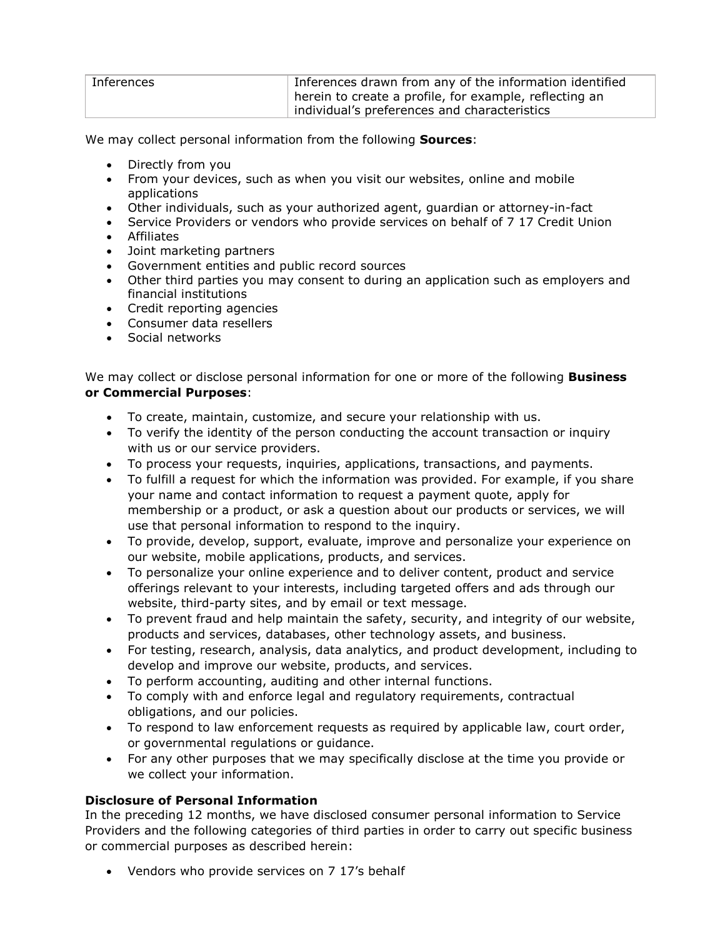| Inferences | Inferences drawn from any of the information identified |
|------------|---------------------------------------------------------|
|            | pherein to create a profile, for example, reflecting an |
|            | individual's preferences and characteristics            |

We may collect personal information from the following **Sources**:

- Directly from you
- • From your devices, such as when you visit our websites, online and mobile applications
- Other individuals, such as your authorized agent, guardian or attorney-in-fact
- Service Providers or vendors who provide services on behalf of 7 17 Credit Union
- Affiliates
- Joint marketing partners
- Government entities and public record sources
- • Other third parties you may consent to during an application such as employers and financial institutions
- Credit reporting agencies
- Consumer data resellers
- Social networks

 We may collect or disclose personal information for one or more of the following **Business or Commercial Purposes**:

- To create, maintain, customize, and secure your relationship with us.
- • To verify the identity of the person conducting the account transaction or inquiry with us or our service providers.
- To process your requests, inquiries, applications, transactions, and payments.
- • To fulfill a request for which the information was provided. For example, if you share your name and contact information to request a payment quote, apply for membership or a product, or ask a question about our products or services, we will use that personal information to respond to the inquiry.
- • To provide, develop, support, evaluate, improve and personalize your experience on our website, mobile applications, products, and services.
- • To personalize your online experience and to deliver content, product and service offerings relevant to your interests, including targeted offers and ads through our website, third-party sites, and by email or text message.
- • To prevent fraud and help maintain the safety, security, and integrity of our website, products and services, databases, other technology assets, and business.
- • For testing, research, analysis, data analytics, and product development, including to develop and improve our website, products, and services.
- To perform accounting, auditing and other internal functions.
- • To comply with and enforce legal and regulatory requirements, contractual obligations, and our policies.
- • To respond to law enforcement requests as required by applicable law, court order, or governmental regulations or guidance.
- • For any other purposes that we may specifically disclose at the time you provide or we collect your information.

## **Disclosure of Personal Information**

 In the preceding 12 months, we have disclosed consumer personal information to Service Providers and the following categories of third parties in order to carry out specific business or commercial purposes as described herein:

• Vendors who provide services on 7 17's behalf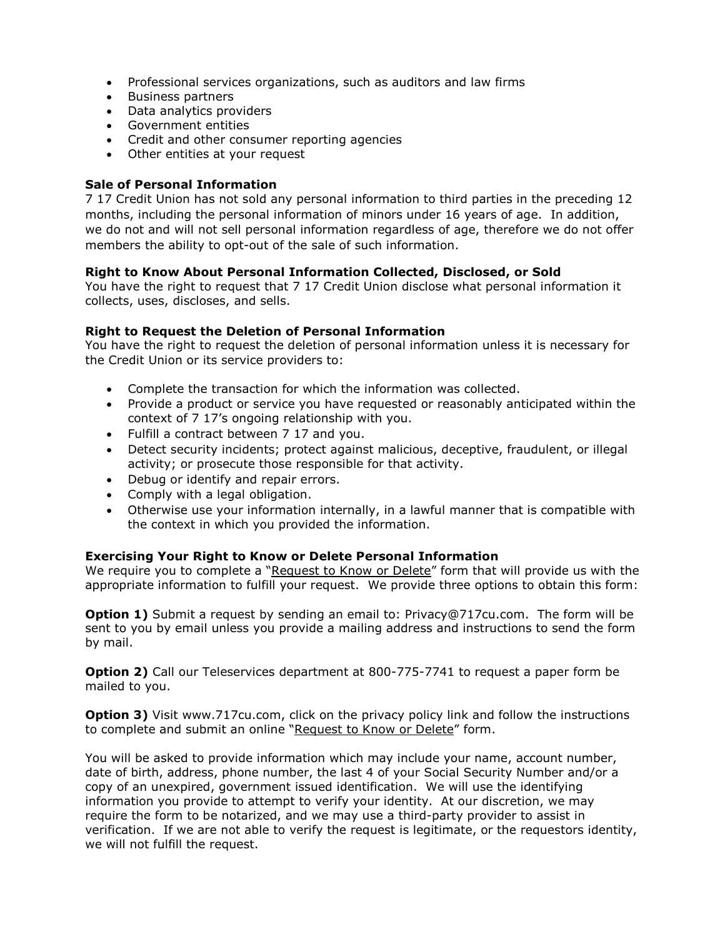- Professional services organizations, such as auditors and law firms
- Business partners
- Data analytics providers
- Government entities
- Credit and other consumer reporting agencies
- Other entities at your request

#### **Sale of Personal Information**

 7 17 Credit Union has not sold any personal information to third parties in the preceding 12 months, including the personal information of minors under 16 years of age. In addition, we do not and will not sell personal information regardless of age, therefore we do not offer members the ability to opt-out of the sale of such information.

#### **Right to Know About Personal Information Collected, Disclosed, or Sold**

 You have the right to request that 7 17 Credit Union disclose what personal information it collects, uses, discloses, and sells.

#### **Right to Request the Deletion of Personal Information**

 You have the right to request the deletion of personal information unless it is necessary for the Credit Union or its service providers to:

- Complete the transaction for which the information was collected.
- • Provide a product or service you have requested or reasonably anticipated within the context of 7 17's ongoing relationship with you.
- Fulfill a contract between 7 17 and you.
- • Detect security incidents; protect against malicious, deceptive, fraudulent, or illegal activity; or prosecute those responsible for that activity.
- Debug or identify and repair errors.
- Comply with a legal obligation.
- • Otherwise use your information internally, in a lawful manner that is compatible with the context in which you provided the information.

#### **Exercising Your Right to Know or Delete Personal Information**

We require you to complete a "<u>Request to Know or Delete</u>" form that will provide us with the appropriate information to fulfill your request. We provide three options to obtain this form:

 **Option 1)** Submit a request by sending an email to: [Privacy@717cu.com.](mailto:Privacy@717cu.com) The form will be sent to you by email unless you provide a mailing address and instructions to send the form by mail.

 **Option 2)** Call our Teleservices department at 800-775-7741 to request a paper form be mailed to you.

**Option 3)** Visit [www.717cu.com,](http://www.717cu.com/) click on the privacy policy link and follow the instructions to complete and submit an online "<u>Request to Know or Delete</u>" form.

 You will be asked to provide information which may include your name, account number, date of birth, address, phone number, the last 4 of your Social Security Number and/or a copy of an unexpired, government issued identification. We will use the identifying information you provide to attempt to verify your identity. At our discretion, we may require the form to be notarized, and we may use a third-party provider to assist in verification. If we are not able to verify the request is legitimate, or the requestors identity, we will not fulfill the request.